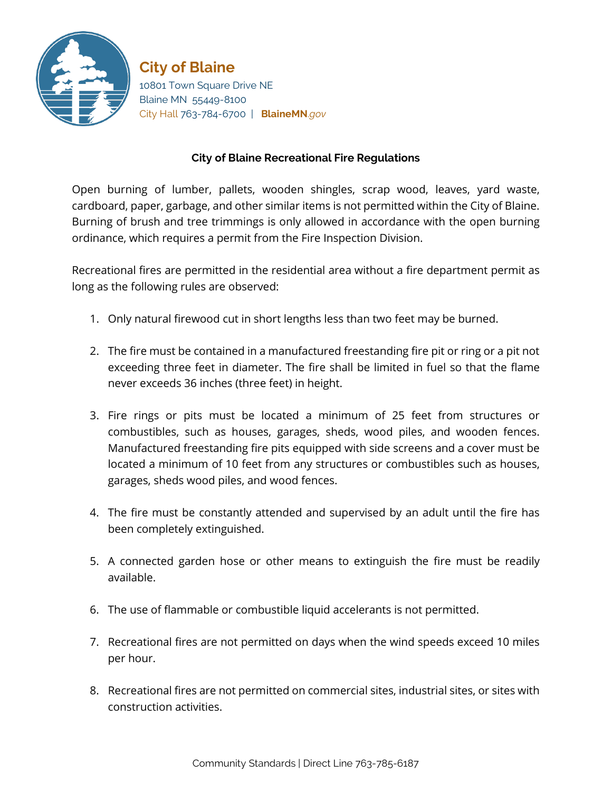

**City of Blaine** 10801 Town Square Drive NE Blaine MN 55449-8100 City Hall 763-784-6700 | **BlaineMN**.*gov*

## **City of Blaine Recreational Fire Regulations**

Open burning of lumber, pallets, wooden shingles, scrap wood, leaves, yard waste, cardboard, paper, garbage, and other similar items is not permitted within the City of Blaine. Burning of brush and tree trimmings is only allowed in accordance with the open burning ordinance, which requires a permit from the Fire Inspection Division.

Recreational fires are permitted in the residential area without a fire department permit as long as the following rules are observed:

- 1. Only natural firewood cut in short lengths less than two feet may be burned.
- 2. The fire must be contained in a manufactured freestanding fire pit or ring or a pit not exceeding three feet in diameter. The fire shall be limited in fuel so that the flame never exceeds 36 inches (three feet) in height.
- 3. Fire rings or pits must be located a minimum of 25 feet from structures or combustibles, such as houses, garages, sheds, wood piles, and wooden fences. Manufactured freestanding fire pits equipped with side screens and a cover must be located a minimum of 10 feet from any structures or combustibles such as houses, garages, sheds wood piles, and wood fences.
- 4. The fire must be constantly attended and supervised by an adult until the fire has been completely extinguished.
- 5. A connected garden hose or other means to extinguish the fire must be readily available.
- 6. The use of flammable or combustible liquid accelerants is not permitted.
- 7. Recreational fires are not permitted on days when the wind speeds exceed 10 miles per hour.
- 8. Recreational fires are not permitted on commercial sites, industrial sites, or sites with construction activities.